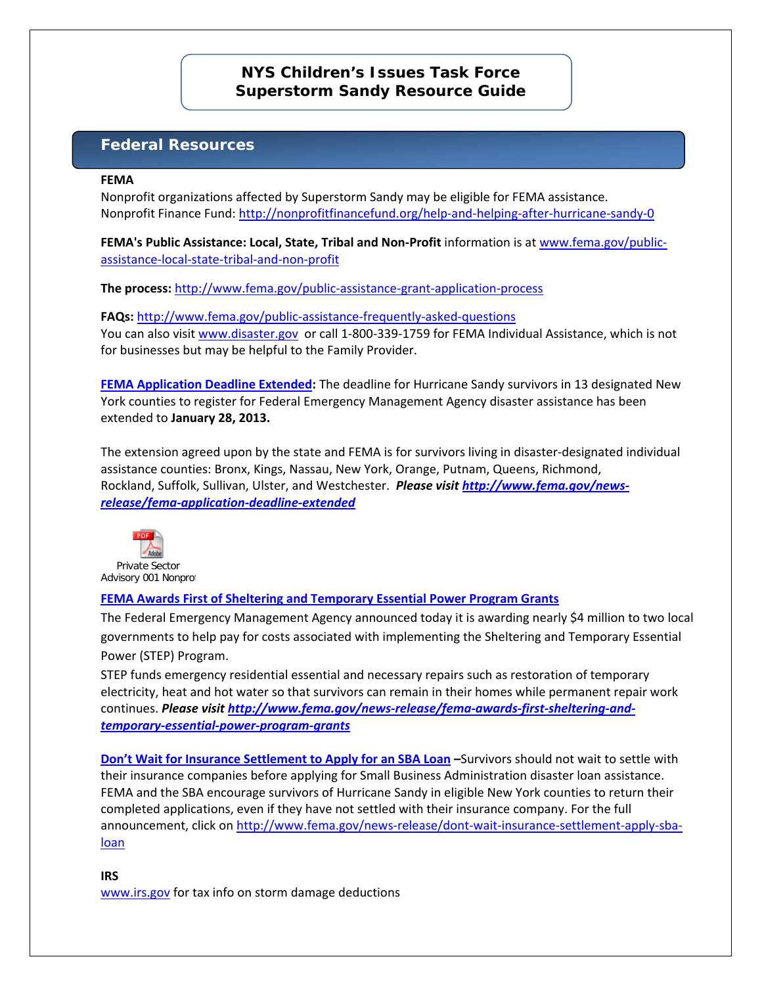# **NYS Children's Issues Task Force Superstorm Sandy Resource Guide**

# **Federal Resources**

#### **FEMA**

Nonprofit organizations affected by Superstorm Sandy may be eligible for FEMA assistance. Nonprofit Finance Fund:<http://nonprofitfinancefund.org/help-and-helping-after-hurricane-sandy-0>

**FEMA's Public Assistance: Local, State, Tribal and Non-Profit** information is a[t www.fema.gov/public](http://www.fema.gov/public-assistance-local-state-tribal-and-non-profit)[assistance-local-state-tribal-and-non-profit](http://www.fema.gov/public-assistance-local-state-tribal-and-non-profit)

**The process:** <http://www.fema.gov/public-assistance-grant-application-process>

**FAQs:** <http://www.fema.gov/public-assistance-frequently-asked-questions> You can also visi[t www.disaster.gov](http://www.disaster.gov/) or call 1-800-339-1759 for FEMA Individual Assistance, which is not for businesses but may be helpful to the Family Provider.

**[FEMA Application Deadline Extended:](http://links.govdelivery.com/track?type=click&enid=ZWFzPTEmbWFpbGluZ2lkPTIwMTIxMjEzLjEzMzcyOTAxJm1lc3NhZ2VpZD1NREItUFJELUJVTC0yMDEyMTIxMy4xMzM3MjkwMSZkYXRhYmFzZWlkPTEwMDEmc2VyaWFsPTE3MDAwOTk0JmVtYWlsaWQ9Z2xlbi5rYXJwb3ZpY2hAYWNmLmhocy5nb3YmdXNlcmlkPWdsZW4ua2FycG92aWNoQGFjZi5oaHMuZ292JmZsPSZleHRyYT1NdWx0aXZhcmlhdGVJZD0mJiY=&&&100&&&http://www.fema.gov/news-release/fema-application-deadline-extended)** The deadline for Hurricane Sandy survivors in 13 designated New York counties to register for Federal Emergency Management Agency disaster assistance has been extended to **January 28, 2013.**

The extension agreed upon by the state and FEMA is for survivors living in disaster-designated individual assistance counties: Bronx, Kings, Nassau, New York, Orange, Putnam, Queens, Richmond, Rockland, Suffolk, Sullivan, Ulster, and Westchester. *Please visi[t http://www.fema.gov/news](http://www.fema.gov/news-release/fema-application-deadline-extended)[release/fema-application-deadline-extended](http://www.fema.gov/news-release/fema-application-deadline-extended)*



## **FEMA Awards First of Sheltering and Temporary Essential Power Program Grants**

The Federal Emergency Management Agency announced today it is awarding nearly \$4 million to two local governments to help pay for costs associated with implementing the Sheltering and Temporary Essential Power (STEP) Program.

STEP funds emergency residential essential and necessary repairs such as restoration of temporary electricity, heat and hot water so that survivors can remain in their homes while permanent repair work continues. *Please visit [http://www.fema.gov/news-release/fema-awards-first-sheltering-and](http://www.fema.gov/news-release/fema-awards-first-sheltering-and-temporary-essential-power-program-grants)[temporary-essential-power-program-grants](http://www.fema.gov/news-release/fema-awards-first-sheltering-and-temporary-essential-power-program-grants)*

**Don't Wait for Insurance Settlement to Apply for an SBA Loan –**Survivors should not wait to settle with their insurance companies before applying for Small Business Administration disaster loan assistance. FEMA and the SBA encourage survivors of Hurricane Sandy in eligible New York counties to return their completed applications, even if they have not settled with their insurance company. For the full announcement, click on [http://www.fema.gov/news-release/dont-wait-insurance-settlement-apply-sba](http://www.fema.gov/news-release/dont-wait-insurance-settlement-apply-sba-loan)[loan](http://www.fema.gov/news-release/dont-wait-insurance-settlement-apply-sba-loan)

**IRS** [www.irs.gov](http://www.irs.gov/) for tax info on storm damage deductions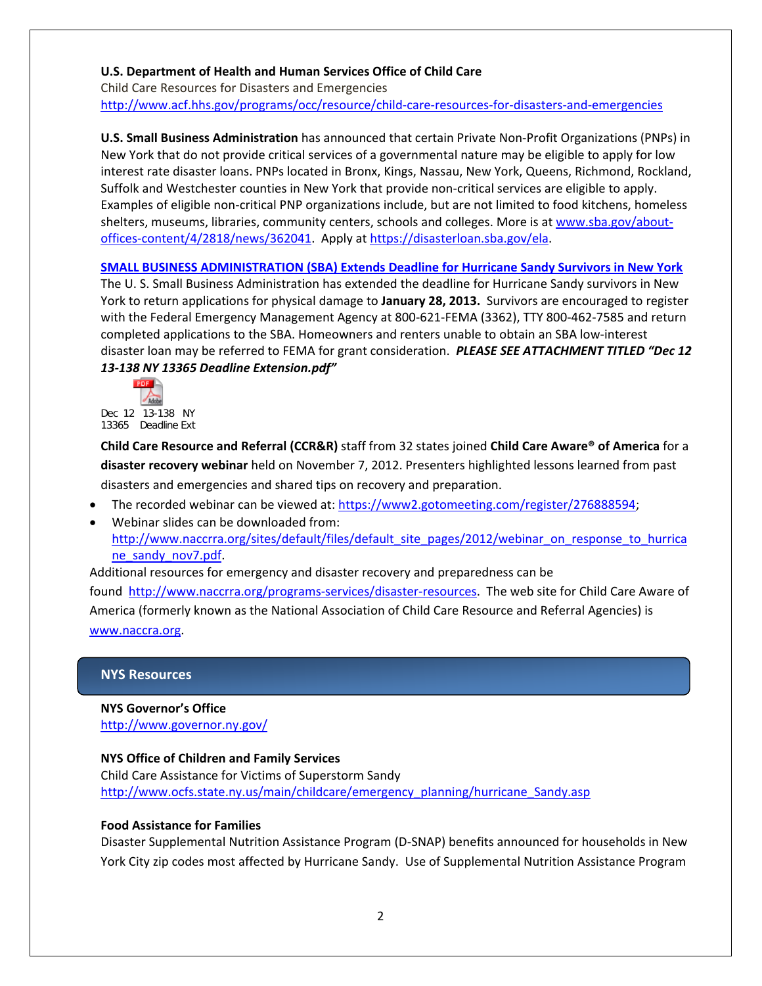### **U.S. Department of Health and Human Services Office of Child Care**

Child Care Resources for Disasters and Emergencies <http://www.acf.hhs.gov/programs/occ/resource/child-care-resources-for-disasters-and-emergencies>

**U.S. Small Business Administration** has announced that certain Private Non-Profit Organizations (PNPs) in New York that do not provide critical services of a governmental nature may be eligible to apply for low interest rate disaster loans. PNPs located in Bronx, Kings, Nassau, New York, Queens, Richmond, Rockland, Suffolk and Westchester counties in New York that provide non-critical services are eligible to apply. Examples of eligible non-critical PNP organizations include, but are not limited to food kitchens, homeless shelters, museums, libraries, community centers, schools and colleges. More is at [www.sba.gov/about](http://www.sba.gov/about-offices-content/4/2818/news/362041)[offices-content/4/2818/news/362041.](http://www.sba.gov/about-offices-content/4/2818/news/362041) Apply at [https://disasterloan.sba.gov/ela.](https://disasterloan.sba.gov/ela)

### **SMALL BUSINESS ADMINISTRATION (SBA) Extends Deadline for Hurricane Sandy Survivors in New York**

The U. S. Small Business Administration has extended the deadline for Hurricane Sandy survivors in New York to return applications for physical damage to **January 28, 2013.** Survivors are encouraged to register with the Federal Emergency Management Agency at 800-621-FEMA (3362), TTY 800-462-7585 and return completed applications to the SBA. Homeowners and renters unable to obtain an SBA low-interest disaster loan may be referred to FEMA for grant consideration. *PLEASE SEE ATTACHMENT TITLED "Dec 12 13-138 NY 13365 Deadline Extension.pdf"*



Dec 12 13-138 NY 13365 Deadline Ext

**Child Care Resource and Referral (CCR&R)** staff from 32 states joined **Child Care Aware® of America** for a **disaster recovery webinar** held on November 7, 2012. Presenters highlighted lessons learned from past disasters and emergencies and shared tips on recovery and preparation.

- The recorded webinar can be viewed at: [https://www2.gotomeeting.com/register/276888594;](https://www2.gotomeeting.com/register/276888594)
- Webinar slides can be downloaded from: [http://www.naccrra.org/sites/default/files/default\\_site\\_pages/2012/webinar\\_on\\_response\\_to\\_hurrica](http://www.naccrra.org/sites/default/files/default_site_pages/2012/webinar_on_response_to_hurricane_sandy_nov7.pdf) [ne\\_sandy\\_nov7.pdf.](http://www.naccrra.org/sites/default/files/default_site_pages/2012/webinar_on_response_to_hurricane_sandy_nov7.pdf)

Additional resources for emergency and disaster recovery and preparedness can be found [http://www.naccrra.org/programs-services/disaster-resources.](http://www.naccrra.org/programs-services/disaster-resources) The web site for Child Care Aware of America (formerly known as the National Association of Child Care Resource and Referral Agencies) is [www.naccra.org.](http://www.naccra.org/)

### **NYS Resources**

**NYS Governor's Office** <http://www.governor.ny.gov/>

### **NYS Office of Children and Family Services**

Child Care Assistance for Victims of Superstorm Sandy [http://www.ocfs.state.ny.us/main/childcare/emergency\\_planning/hurricane\\_Sandy.asp](http://www.ocfs.state.ny.us/main/childcare/emergency_planning/hurricane_Sandy.asp)

### **Food Assistance for Families**

Disaster Supplemental Nutrition Assistance Program (D-SNAP) benefits announced for households in New York City zip codes most affected by Hurricane Sandy. Use of Supplemental Nutrition Assistance Program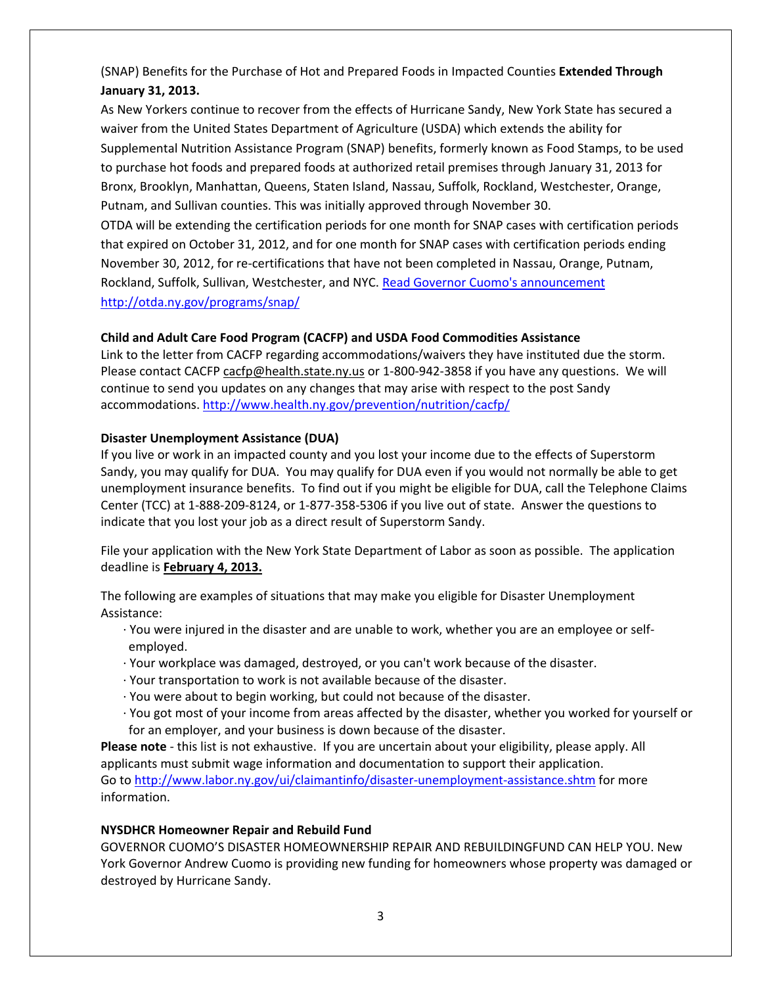(SNAP) Benefits for the Purchase of Hot and Prepared Foods in Impacted Counties **Extended Through January 31, 2013.**

As New Yorkers continue to recover from the effects of Hurricane Sandy, New York State has secured a waiver from the United States Department of Agriculture (USDA) which extends the ability for Supplemental Nutrition Assistance Program (SNAP) benefits, formerly known as Food Stamps, to be used to purchase hot foods and prepared foods at authorized retail premises through January 31, 2013 for Bronx, Brooklyn, Manhattan, Queens, Staten Island, Nassau, Suffolk, Rockland, Westchester, Orange, Putnam, and Sullivan counties. This was initially approved through November 30.

OTDA will be extending the certification periods for one month for SNAP cases with certification periods that expired on October 31, 2012, and for one month for SNAP cases with certification periods ending November 30, 2012, for re-certifications that have not been completed in Nassau, Orange, Putnam, Rockland, Suffolk, Sullivan, Westchester, and NYC. [Read Governor Cuomo's announcement](http://www.governor.ny.gov/press/11612SNAPcertification) <http://otda.ny.gov/programs/snap/>

## **Child and Adult Care Food Program (CACFP) and USDA Food Commodities Assistance**

Link to the letter from CACFP regarding accommodations/waivers they have instituted due the storm. Please contact CACFP [cacfp@health.state.ny.us](mailto:cacfp@health.state.ny.us) or 1-800-942-3858 if you have any questions. We will continue to send you updates on any changes that may arise with respect to the post Sandy accommodations. <http://www.health.ny.gov/prevention/nutrition/cacfp/>

## **Disaster Unemployment Assistance (DUA)**

If you live or work in an impacted county and you lost your income due to the effects of Superstorm Sandy, you may qualify for DUA. You may qualify for DUA even if you would not normally be able to get unemployment insurance benefits. To find out if you might be eligible for DUA, call the Telephone Claims Center (TCC) at 1-888-209-8124, or 1-877-358-5306 if you live out of state. Answer the questions to indicate that you lost your job as a direct result of Superstorm Sandy.

File your application with the New York State Department of Labor as soon as possible. The application deadline is **February 4, 2013.** 

The following are examples of situations that may make you eligible for Disaster Unemployment Assistance:

- · You were injured in the disaster and are unable to work, whether you are an employee or selfemployed.
- · Your workplace was damaged, destroyed, or you can't work because of the disaster.
- · Your transportation to work is not available because of the disaster.
- · You were about to begin working, but could not because of the disaster.
- · You got most of your income from areas affected by the disaster, whether you worked for yourself or for an employer, and your business is down because of the disaster.

**Please note** - this list is not exhaustive. If you are uncertain about your eligibility, please apply. All applicants must submit wage information and documentation to support their application. Go to<http://www.labor.ny.gov/ui/claimantinfo/disaster-unemployment-assistance.shtm> for more information.

## **NYSDHCR Homeowner Repair and Rebuild Fund**

GOVERNOR CUOMO'S DISASTER HOMEOWNERSHIP REPAIR AND REBUILDINGFUND CAN HELP YOU. New York Governor Andrew Cuomo is providing new funding for homeowners whose property was damaged or destroyed by Hurricane Sandy.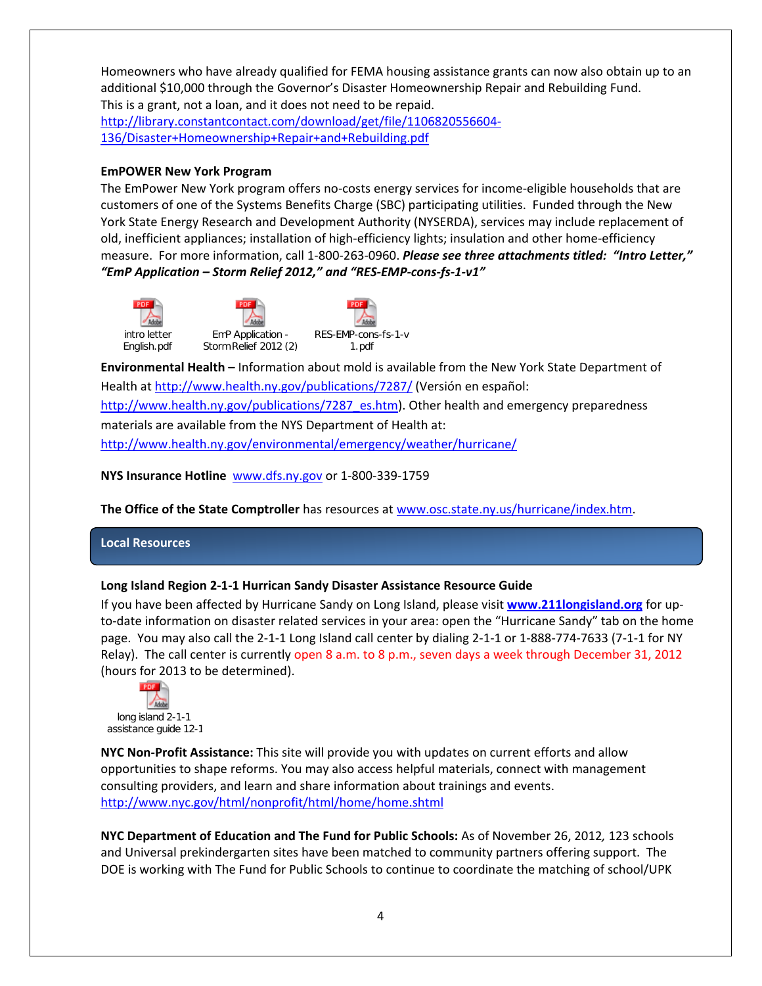Homeowners who have already qualified for FEMA housing assistance grants can now also obtain up to an additional \$10,000 through the Governor's Disaster Homeownership Repair and Rebuilding Fund. This is a grant, not a loan, and it does not need to be repaid.

[http://library.constantcontact.com/download/get/file/1106820556604-](http://library.constantcontact.com/download/get/file/1106820556604-136/Disaster+Homeownership+Repair+and+Rebuilding.pdf) [136/Disaster+Homeownership+Repair+and+Rebuilding.pdf](http://library.constantcontact.com/download/get/file/1106820556604-136/Disaster+Homeownership+Repair+and+Rebuilding.pdf)

### **EmPOWER New York Program**

The EmPower New York program offers no-costs energy services for income-eligible households that are customers of one of the Systems Benefits Charge (SBC) participating utilities. Funded through the New York State Energy Research and Development Authority (NYSERDA), services may include replacement of old, inefficient appliances; installation of high-efficiency lights; insulation and other home-efficiency measure. For more information, call 1-800-263-0960. *Please see three attachments titled: "Intro Letter," "EmP Application – Storm Relief 2012," and "RES-EMP-cons-fs-1-v1"*





RES-EMP-cons-fs-1-v 1.pdf

**Environmental Health –** Information about mold is available from the New York State Department of Health at<http://www.health.ny.gov/publications/7287/> (Versión en español: [http://www.health.ny.gov/publications/7287\\_es.htm\)](http://www.health.ny.gov/publications/7287_es.htm). Other health and emergency preparedness materials are available from the NYS Department of Health at: <http://www.health.ny.gov/environmental/emergency/weather/hurricane/>

**NYS Insurance Hotline** [www.dfs.ny.gov](http://www.dfs.ny.gov/) or 1-800-339-1759

**The Office of the State Comptroller** has resources at [www.osc.state.ny.us/hurricane/index.htm.](http://www.osc.state.ny.us/hurricane/index.htm)

### **Local Resources**

## **Long Island Region 2-1-1 Hurrican Sandy Disaster Assistance Resource Guide**

If you have been affected by Hurricane Sandy on Long Island, please visit **[www.211longisland.org](http://www.211longisland.org/)** for upto-date information on disaster related services in your area: open the "Hurricane Sandy" tab on the home page. You may also call the 2-1-1 Long Island call center by dialing 2-1-1 or 1-888-774-7633 (7-1-1 for NY Relay). The call center is currently open 8 a.m. to 8 p.m., seven days a week through December 31, 2012 (hours for 2013 to be determined).



**NYC Non-Profit Assistance:** This site will provide you with updates on current efforts and allow opportunities to shape reforms. You may also access helpful materials, connect with management consulting providers, and learn and share information about trainings and events. <http://www.nyc.gov/html/nonprofit/html/home/home.shtml>

**NYC Department of Education and The Fund for Public Schools:** As of November 26, 2012*,* 123 schools and Universal prekindergarten sites have been matched to community partners offering support. The DOE is working with The Fund for Public Schools to continue to coordinate the matching of school/UPK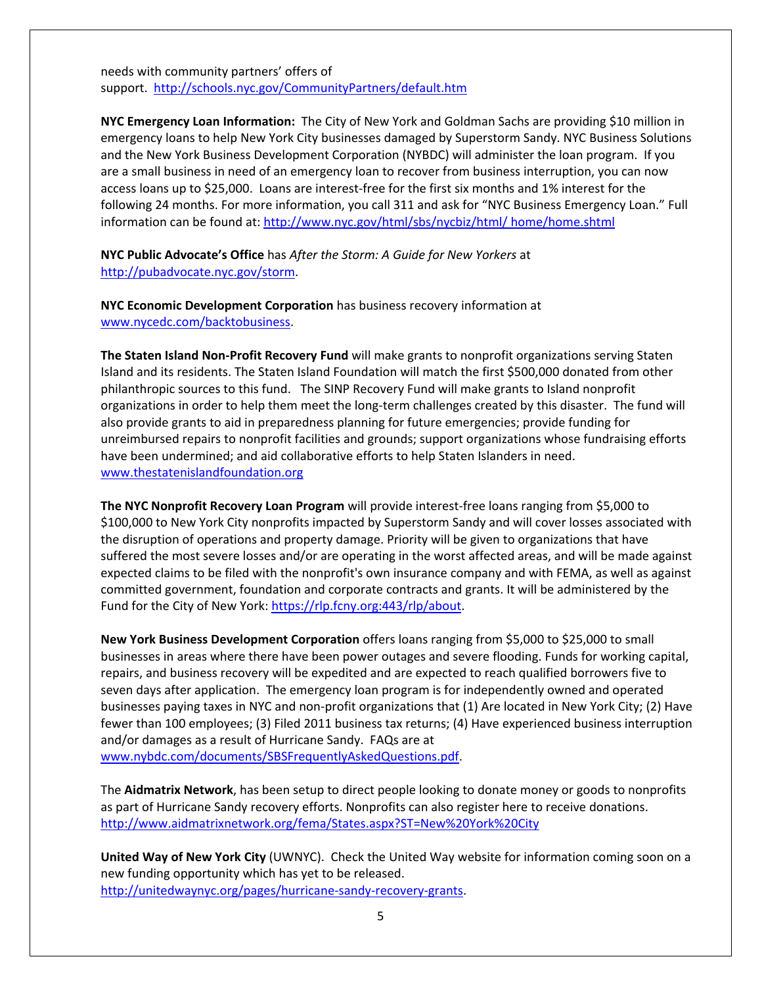needs with community partners' offers of support. <http://schools.nyc.gov/CommunityPartners/default.htm>

**NYC Emergency Loan Information:** The City of New York and Goldman Sachs are providing \$10 million in emergency loans to help New York City businesses damaged by Superstorm Sandy. NYC Business Solutions and the New York Business Development Corporation (NYBDC) will administer the loan program. If you are a small business in need of an emergency loan to recover from business interruption, you can now access loans up to \$25,000. Loans are interest-free for the first six months and 1% interest for the following 24 months. For more information, you call 311 and ask for "NYC Business Emergency Loan." Full information can be found at: [http://www.nyc.gov/html/sbs/nycbiz/html/ home/home.shtml](http://www.nyc.gov/html/sbs/nycbiz/html/home/home.shtml)

**NYC Public Advocate's Office** has *After the Storm: A Guide for New Yorkers* at [http://pubadvocate.nyc.gov/storm.](http://pubadvocate.nyc.gov/storm)

**NYC Economic Development Corporation** has business recovery information at [www.nycedc.com/backtobusiness.](http://www.nycedc.com/backtobusiness)

**The Staten Island Non-Profit Recovery Fund** will make grants to nonprofit organizations serving Staten Island and its residents. The Staten Island Foundation will match the first \$500,000 donated from other philanthropic sources to this fund. The SINP Recovery Fund will make grants to Island nonprofit organizations in order to help them meet the long-term challenges created by this disaster. The fund will also provide grants to aid in preparedness planning for future emergencies; provide funding for unreimbursed repairs to nonprofit facilities and grounds; support organizations whose fundraising efforts have been undermined; and aid collaborative efforts to help Staten Islanders in need. [www.thestatenislandfoundation.org](http://www.thestatenislandfoundation.org/)

**The NYC Nonprofit Recovery Loan Program** will provide interest-free loans ranging from \$5,000 to \$100,000 to New York City nonprofits impacted by Superstorm Sandy and will cover losses associated with the disruption of operations and property damage. Priority will be given to organizations that have suffered the most severe losses and/or are operating in the worst affected areas, and will be made against expected claims to be filed with the nonprofit's own insurance company and with FEMA, as well as against committed government, foundation and corporate contracts and grants. It will be administered by the Fund for the City of New York: [https://rlp.fcny.org:443/rlp/about.](https://rlp.fcny.org/rlp/about)

**[New York Business Development Corporation](http://www.nybdc.com/HurricaneSandySmallBusinessReliefFund.html)** offers loans ranging from \$5,000 to \$25,000 to small businesses in areas where there have been power outages and severe flooding. Funds for working capital, repairs, and business recovery will be expedited and are expected to reach qualified borrowers five to seven days after application. The emergency loan program is for independently owned and operated businesses paying taxes in NYC and non-profit organizations that (1) Are located in New York City; (2) Have fewer than 100 employees; (3) Filed 2011 business tax returns; (4) Have experienced business interruption and/or damages as a result of Hurricane Sandy. FAQs are at

[www.nybdc.com/documents/SBSFrequentlyAskedQuestions.pdf.](http://www.nybdc.com/documents/SBSFrequentlyAskedQuestions.pdf)

The **Aidmatrix Network**, has been setup to direct people looking to donate money or goods to nonprofits as part of Hurricane Sandy recovery efforts. Nonprofits can also register here to receive donations. <http://www.aidmatrixnetwork.org/fema/States.aspx?ST=New%20York%20City>

**United Way of New York City** (UWNYC). Check the United Way website for information coming soon on a new funding opportunity which has yet to be released. [http://unitedwaynyc.org/pages/hurricane-sandy-recovery-grants.](http://unitedwaynyc.org/pages/hurricane-sandy-recovery-grants)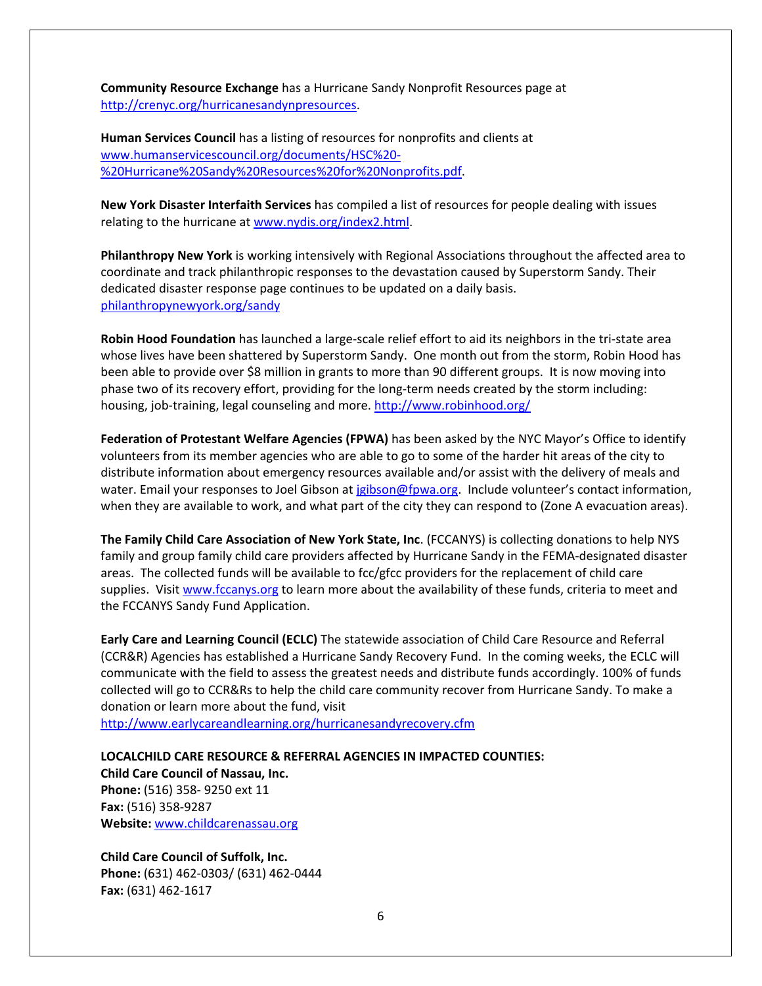**Community Resource Exchange** has a Hurricane Sandy Nonprofit Resources page at [http://crenyc.org/hurricanesandynpresources.](http://crenyc.org/hurricanesandynpresources)

**Human Services Council** has a listing of resources for nonprofits and clients at [www.humanservicescouncil.org/documents/HSC%20-](http://www.humanservicescouncil.org/documents/HSC%20-%20Hurricane%20Sandy%20Resources%20for%20Nonprofits.pdf) [%20Hurricane%20Sandy%20Resources%20for%20Nonprofits.pdf.](http://www.humanservicescouncil.org/documents/HSC%20-%20Hurricane%20Sandy%20Resources%20for%20Nonprofits.pdf)

**New York Disaster Interfaith Services** has compiled a list of resources for people dealing with issues relating to the hurricane at [www.nydis.org/index2.html.](http://www.nydis.org/index2.html)

**Philanthropy New York** is working intensively with Regional Associations throughout the affected area to coordinate and track philanthropic responses to the devastation caused by Superstorm Sandy. Their dedicated disaster response page continues to be updated on a daily basis. [philanthropynewyork.org/sandy](http://www.philanthropynewyork.org/sandy)

**Robin Hood Foundation** has launched a large-scale relief effort to aid its neighbors in the tri-state area whose lives have been shattered by Superstorm Sandy. One month out from the storm, Robin Hood has been able to provide over \$8 million in grants to more than 90 different groups. It is now moving into phase two of its recovery effort, providing for the long-term needs created by the storm including: housing, job-training, legal counseling and more. <http://www.robinhood.org/>

**Federation of Protestant Welfare Agencies (FPWA)** has been asked by the NYC Mayor's Office to identify volunteers from its member agencies who are able to go to some of the harder hit areas of the city to distribute information about emergency resources available and/or assist with the delivery of meals and water. Email your responses to Joel Gibson a[t jgibson@fpwa.org.](mailto:jgibson@fpwa.org) Include volunteer's contact information, when they are available to work, and what part of the city they can respond to (Zone A evacuation areas).

**The Family Child Care Association of New York State, Inc**. (FCCANYS) is collecting donations to help NYS family and group family child care providers affected by Hurricane Sandy in the FEMA-designated disaster areas. The collected funds will be available to fcc/gfcc providers for the replacement of child care supplies. Visit [www.fccanys.org](http://www.fccanys.org/) to learn more about the availability of these funds, criteria to meet and the FCCANYS Sandy Fund Application.

**Early Care and Learning Council (ECLC)** The statewide association of Child Care Resource and Referral (CCR&R) Agencies has established a Hurricane Sandy Recovery Fund. In the coming weeks, the ECLC will communicate with the field to assess the greatest needs and distribute funds accordingly. 100% of funds collected will go to CCR&Rs to help the child care community recover from Hurricane Sandy. To make a donation or learn more about the fund, visit

<http://www.earlycareandlearning.org/hurricanesandyrecovery.cfm>

**LOCALCHILD CARE RESOURCE & REFERRAL AGENCIES IN IMPACTED COUNTIES: Child Care Council of Nassau, Inc. Phone:** (516) 358- 9250 ext 11 **Fax:** (516) 358-9287 **Website:** [www.childcarenassau.org](http://www.childcarenassau.org/)

**Child Care Council of Suffolk, Inc. Phone:** (631) 462-0303/ (631) 462-0444 **Fax:** (631) 462-1617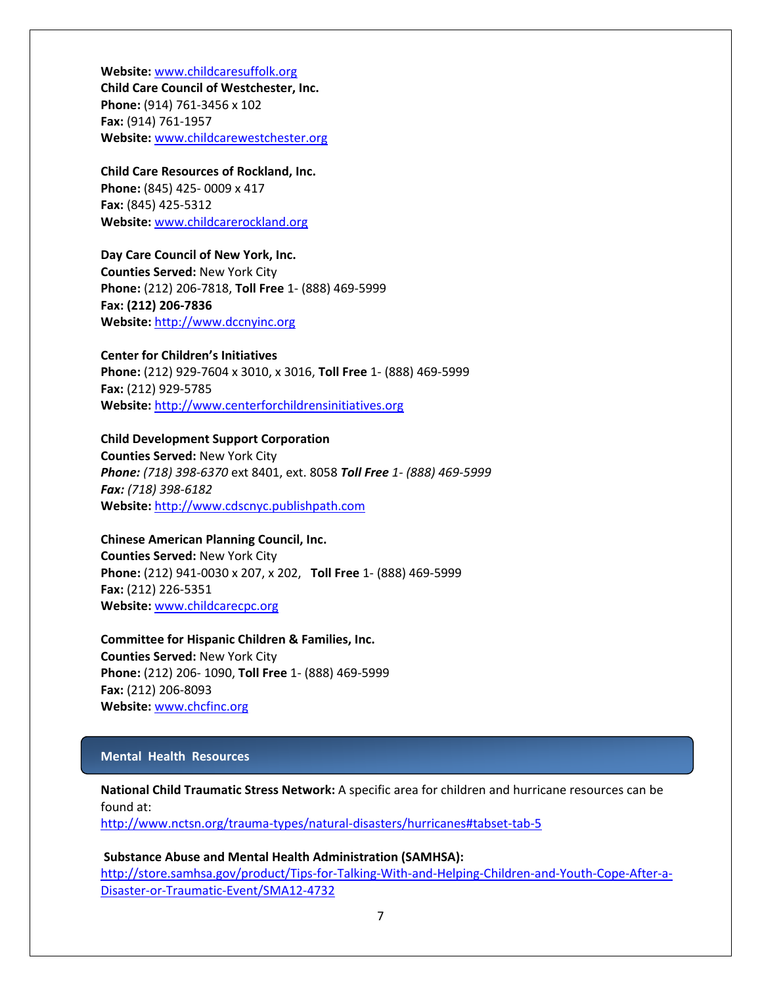**Website:** [www.childcaresuffolk.org](http://www.childcaresuffolk.org/) **Child Care Council of Westchester, Inc. Phone:** (914) 761-3456 x 102 **Fax:** (914) 761-1957 **Website:** [www.childcarewestchester.org](http://www.childcarewestchester.org/)

## **Child Care Resources of Rockland, Inc.**

**Phone:** (845) 425- 0009 x 417 **Fax:** (845) 425-5312 **Website:** [www.childcarerockland.org](http://www.childcarerockland.org/)

## **Day Care Council of New York, Inc.**

**Counties Served:** New York City **Phone:** (212) 206-7818, **Toll Free** 1- (888) 469-5999 **Fax: (212) 206-7836 Website:** [http://www.dccnyinc.org](http://www.dccnyinc.org/)

## **Center for Children's Initiatives**

**Phone:** (212) 929-7604 x 3010, x 3016, **Toll Free** 1- (888) 469-5999 **Fax:** (212) 929-5785 **Website:** [http://www.centerforchildrensinitiatives.org](http://www.centerforchildrensinitiatives.org/)

## **Child Development Support Corporation**

**Counties Served:** New York City *Phone: (718) 398-6370* ext 8401, ext. 8058 *Toll Free 1- (888) 469-5999 Fax: (718) 398-6182* **Website:** [http://www.cdscnyc.publishpath.com](http://www.cdscnyc.publishpath.com/)

## **Chinese American Planning Council, Inc. Counties Served:** New York City **Phone:** (212) 941-0030 x 207, x 202, **Toll Free** 1- (888) 469-5999 **Fax:** (212) 226-5351 **Website:** [www.childcarecpc.org](http://www.childcarecpc.org/)

**Committee for Hispanic Children & Families, Inc. Counties Served:** New York City **Phone:** (212) 206- 1090, **Toll Free** 1- (888) 469-5999 **Fax:** (212) 206-8093 **Website:** [www.chcfinc.org](http://www.chcfinc.org/)

## **Mental Health Resources**

**National Child Traumatic Stress Network:** A specific area for children and hurricane resources can be found at:

<http://www.nctsn.org/trauma-types/natural-disasters/hurricanes#tabset-tab-5>

### **Substance Abuse and Mental Health Administration (SAMHSA):**

[http://store.samhsa.gov/product/Tips-for-Talking-With-and-Helping-Children-and-Youth-Cope-After-a-](http://store.samhsa.gov/product/Tips-for-Talking-With-and-Helping-Children-and-Youth-Cope-After-a-Disaster-or-Traumatic-Event/SMA12-4732)[Disaster-or-Traumatic-Event/SMA12-4732](http://store.samhsa.gov/product/Tips-for-Talking-With-and-Helping-Children-and-Youth-Cope-After-a-Disaster-or-Traumatic-Event/SMA12-4732)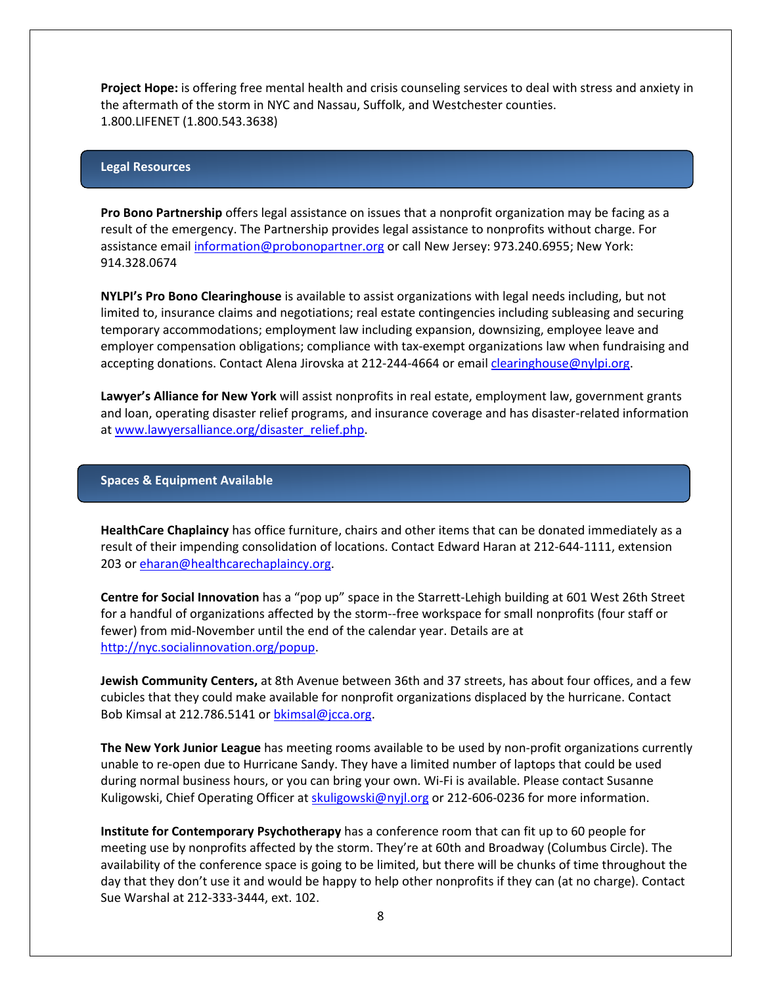**Project Hope:** is offering free mental health and crisis counseling services to deal with stress and anxiety in the aftermath of the storm in NYC and Nassau, Suffolk, and Westchester counties. 1.800.LIFENET (1.800.543.3638)

#### **Legal Resources**

**Pro Bono Partnership** offers legal assistance on issues that a nonprofit organization may be facing as a result of the emergency. The Partnership provides legal assistance to nonprofits without charge. For assistance email [information@probonopartner.org](mailto:information@probonopartner.org) or call New Jersey: 973.240.6955; New York: 914.328.0674

**NYLPI's Pro Bono Clearinghouse** is available to assist organizations with legal needs including, but not limited to, insurance claims and negotiations; real estate contingencies including subleasing and securing temporary accommodations; employment law including expansion, downsizing, employee leave and employer compensation obligations; compliance with tax-exempt organizations law when fundraising and accepting donations. Contact Alena Jirovska at 212-244-4664 or email [clearinghouse@nylpi.org.](mailto:clearinghouse@nylpi.org)

**Lawyer's Alliance for New York** will assist nonprofits in real estate, employment law, government grants and loan, operating disaster relief programs, and insurance coverage and has disaster-related information at [www.lawyersalliance.org/disaster\\_relief.php.](http://www.lawyersalliance.org/disaster_relief.php)

#### **Spaces & Equipment Available**

**HealthCare Chaplaincy** has office furniture, chairs and other items that can be donated immediately as a result of their impending consolidation of locations. Contact Edward Haran at 212-644-1111, extension 203 or [eharan@healthcarechaplaincy.org.](mailto:eharan@healthcarechaplaincy.org)

**Centre for Social Innovation** has a "pop up" space in the Starrett-Lehigh building at 601 West 26th Street for a handful of organizations affected by the storm--free workspace for small nonprofits (four staff or fewer) from mid-November until the end of the calendar year. Details are at http://nyc.socialinnovation.org/popup.

**Jewish Community Centers,** at 8th Avenue between 36th and 37 streets, has about four offices, and a few cubicles that they could make available for nonprofit organizations displaced by the hurricane. Contact Bob Kimsal at 212.786.5141 or [bkimsal@jcca.org.](mailto:bkimsal@jcca.org)

**The New York Junior League** has meeting rooms available to be used by non-profit organizations currently unable to re-open due to Hurricane Sandy. They have a limited number of laptops that could be used during normal business hours, or you can bring your own. Wi-Fi is available. Please contact Susanne Kuligowski, Chief Operating Officer a[t skuligowski@nyjl.org](mailto:skuligowski@nyjl.org) or 212-606-0236 for more information.

**Institute for Contemporary Psychotherapy** has a conference room that can fit up to 60 people for meeting use by nonprofits affected by the storm. They're at 60th and Broadway (Columbus Circle). The availability of the conference space is going to be limited, but there will be chunks of time throughout the day that they don't use it and would be happy to help other nonprofits if they can (at no charge). Contact Sue Warshal at 212-333-3444, ext. 102.